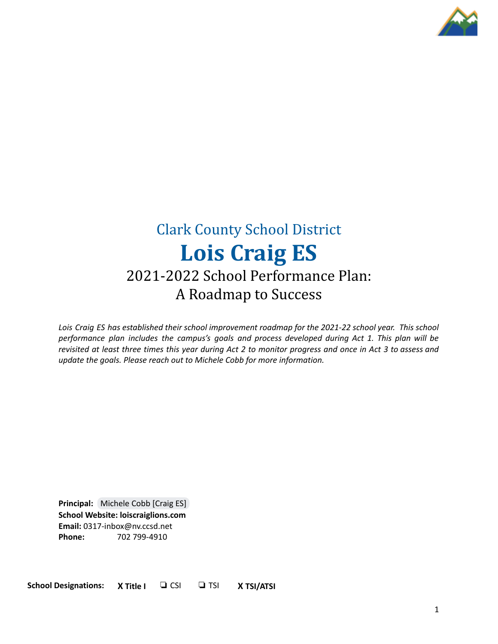

# Clark County School District **Lois Craig ES** 2021-2022 School Performance Plan: A Roadmap to Success

*Lois Craig ES has established their school improvement roadmap for the 2021-22 school year. This school performance plan includes the campus's goals and process developed during Act 1. This plan will be* revisited at least three times this year during Act 2 to monitor progress and once in Act 3 to assess and *update the goals. Please reach out to Michele Cobb for more information.*

**Principal:** [Michele](mailto:cobbmc@nv.ccsd.net) Cobb [Craig ES] **School Website: loiscraiglions.com Email:** 0317-inbox@nv.ccsd.net **Phone:** 702 799-4910

**School Designations: X Title I** ❏ CSI ❏ TSI **X TSI/ATSI**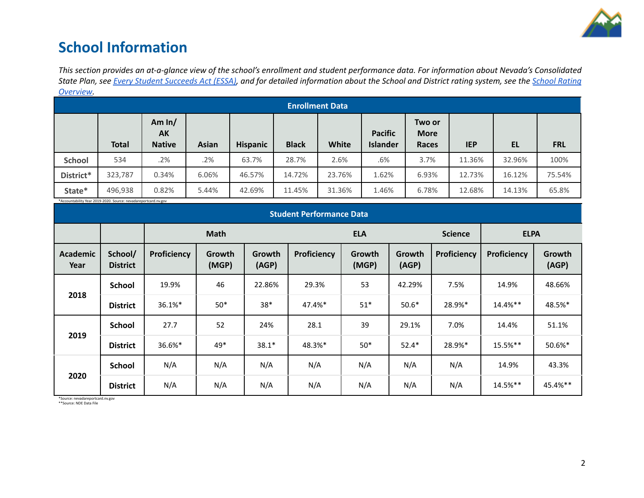

## **School Information**

This section provides an at-a-glance view of the school's enrollment and student performance data. For information about Nevada's Consolidated State Plan, see Every Student [Succeeds](https://doe.nv.gov/uploadedFiles/ndedoenvgov/content/Boards_Commissions_Councils/ESSA_Adv_Group/NevadaSubmittedConsolidatedPlanFinal.pdf) Act (ESSA), and for detailed information about the School and District rating system, see the School [Rating](http://nevadareportcard.nv.gov/DI/MoreDownload?filename=Nevadas%20School%20Rating%20System.pdf) *[Overview.](http://nevadareportcard.nv.gov/DI/MoreDownload?filename=Nevadas%20School%20Rating%20System.pdf)*

| $\mathbf{v}$ . The state<br><b>Enrollment Data</b> |              |                                        |              |                 |              |        |                                   |                                |            |        |            |
|----------------------------------------------------|--------------|----------------------------------------|--------------|-----------------|--------------|--------|-----------------------------------|--------------------------------|------------|--------|------------|
|                                                    | <b>Total</b> | Am $ln/$<br><b>AK</b><br><b>Native</b> | <b>Asian</b> | <b>Hispanic</b> | <b>Black</b> | White  | <b>Pacific</b><br><b>Islander</b> | Two or<br><b>More</b><br>Races | <b>IEP</b> | EL     | <b>FRL</b> |
| <b>School</b>                                      | 534          | .2%                                    | .2%          | 63.7%           | 28.7%        | 2.6%   | .6%                               | 3.7%                           | 11.36%     | 32.96% | 100%       |
| District*                                          | 323,787      | 0.34%                                  | 6.06%        | 46.57%          | 14.72%       | 23.76% | 1.62%                             | 6.93%                          | 12.73%     | 16.12% | 75.54%     |
| State*                                             | 496,938      | 0.82%                                  | 5.44%        | 42.69%          | 11.45%       | 31.36% | 1.46%                             | 6.78%                          | 12.68%     | 14.13% | 65.8%      |

\*Accountability Year 2019-2020. Source: nevadareportcard.nv.gov

| <b>Student Performance Data</b> |                            |             |                        |                 |             |                 |                 |                |             |                 |
|---------------------------------|----------------------------|-------------|------------------------|-----------------|-------------|-----------------|-----------------|----------------|-------------|-----------------|
|                                 |                            | <b>Math</b> |                        |                 | <b>ELA</b>  |                 |                 | <b>Science</b> | <b>ELPA</b> |                 |
| Academic<br>Year                | School/<br><b>District</b> | Proficiency | <b>Growth</b><br>(MGP) | Growth<br>(AGP) | Proficiency | Growth<br>(MGP) | Growth<br>(AGP) | Proficiency    | Proficiency | Growth<br>(AGP) |
|                                 | <b>School</b>              | 19.9%       | 46                     | 22.86%          | 29.3%       | 53              | 42.29%          | 7.5%           | 14.9%       | 48.66%          |
| 2018                            | <b>District</b>            | 36.1%*      | $50*$                  | $38*$           | 47.4%*      | $51*$           | $50.6*$         | 28.9%*         | 14.4%**     | 48.5%*          |
|                                 | <b>School</b>              | 27.7        | 52                     | 24%             | 28.1        | 39              | 29.1%           | 7.0%           | 14.4%       | 51.1%           |
| 2019                            | <b>District</b>            | 36.6%*      | 49*                    | $38.1*$         | 48.3%*      | $50*$           | $52.4*$         | 28.9%*         | 15.5%**     | 50.6%*          |
|                                 | <b>School</b>              | N/A         | N/A                    | N/A             | N/A         | N/A             | N/A             | N/A            | 14.9%       | 43.3%           |
| 2020                            | <b>District</b>            | N/A         | N/A                    | N/A             | N/A         | N/A             | N/A             | N/A            | 14.5%**     | 45.4%**         |

\*Source: nevadareportcard.nv.gov \*\*Source: NDE Data File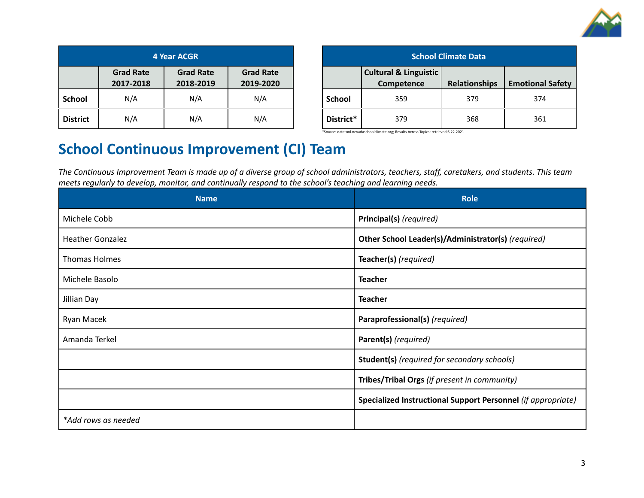

| 4 Year ACGR     |                               |                               |                               |  |  |
|-----------------|-------------------------------|-------------------------------|-------------------------------|--|--|
|                 | <b>Grad Rate</b><br>2017-2018 | <b>Grad Rate</b><br>2018-2019 | <b>Grad Rate</b><br>2019-2020 |  |  |
| <b>School</b>   | N/A                           | N/A                           | N/A                           |  |  |
| <b>District</b> | N/A                           | N/A                           | N/A                           |  |  |

| <b>School Climate Data</b> |                                                |               |                         |  |  |
|----------------------------|------------------------------------------------|---------------|-------------------------|--|--|
|                            | <b>Cultural &amp; Linguistic</b><br>Competence | Relationships | <b>Emotional Safety</b> |  |  |
| School                     | 359                                            | 379           | 374                     |  |  |
| District*                  | 379                                            | 368           | 361                     |  |  |

\*Source: datatool.nevadaschoolclimate.org; Results Across Topics; retrieved 6.22.2021

## **School Continuous Improvement (CI) Team**

The Continuous Improvement Team is made up of a diverse group of school administrators, teachers, staff, caretakers, and students. This team *meets regularly to develop, monitor, and continually respond to the school's teaching and learning needs.*

| <b>Name</b>             | <b>Role</b>                                                  |
|-------------------------|--------------------------------------------------------------|
| Michele Cobb            | Principal(s) (required)                                      |
| <b>Heather Gonzalez</b> | Other School Leader(s)/Administrator(s) (required)           |
| Thomas Holmes           | Teacher(s) (required)                                        |
| Michele Basolo          | <b>Teacher</b>                                               |
| Jillian Day             | <b>Teacher</b>                                               |
| Ryan Macek              | Paraprofessional(s) (required)                               |
| Amanda Terkel           | Parent(s) (required)                                         |
|                         | <b>Student(s)</b> (required for secondary schools)           |
|                         | Tribes/Tribal Orgs (if present in community)                 |
|                         | Specialized Instructional Support Personnel (if appropriate) |
| *Add rows as needed     |                                                              |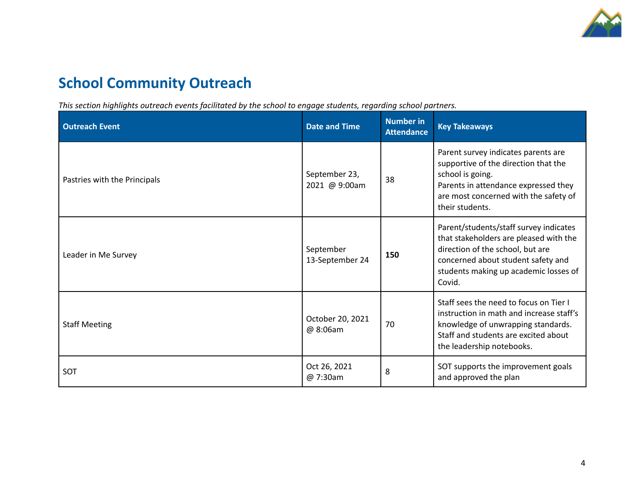

# **School Community Outreach**

*This section highlights outreach events facilitated by the school to engage students, regarding school partners.*

| <b>Outreach Event</b>        | <b>Date and Time</b>           | <b>Number in</b><br><b>Attendance</b> | <b>Key Takeaways</b>                                                                                                                                                                                          |
|------------------------------|--------------------------------|---------------------------------------|---------------------------------------------------------------------------------------------------------------------------------------------------------------------------------------------------------------|
| Pastries with the Principals | September 23,<br>2021 @ 9:00am | 38                                    | Parent survey indicates parents are<br>supportive of the direction that the<br>school is going.<br>Parents in attendance expressed they<br>are most concerned with the safety of<br>their students.           |
| Leader in Me Survey          | September<br>13-September 24   | 150                                   | Parent/students/staff survey indicates<br>that stakeholders are pleased with the<br>direction of the school, but are<br>concerned about student safety and<br>students making up academic losses of<br>Covid. |
| <b>Staff Meeting</b>         | October 20, 2021<br>@ 8:06am   | 70                                    | Staff sees the need to focus on Tier I<br>instruction in math and increase staff's<br>knowledge of unwrapping standards.<br>Staff and students are excited about<br>the leadership notebooks.                 |
| <b>SOT</b>                   | Oct 26, 2021<br>@ 7:30am       | 8                                     | SOT supports the improvement goals<br>and approved the plan                                                                                                                                                   |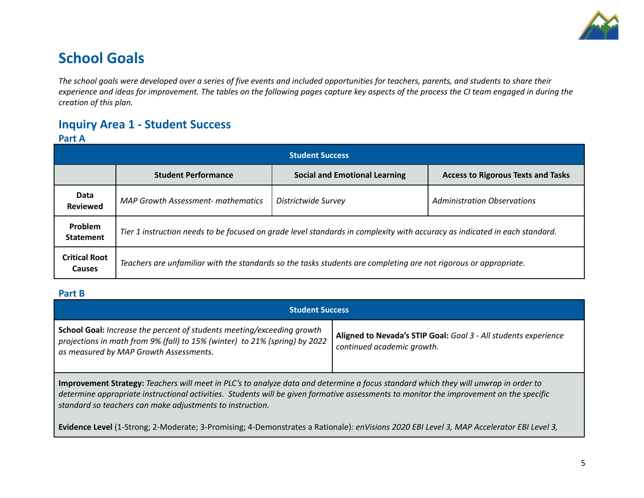

## **School Goals**

The school goals were developed over a series of five events and included opportunities for teachers, parents, and students to share their experience and ideas for improvement. The tables on the following pages capture key aspects of the process the CI team engaged in during the *creation of this plan.*

## **Inquiry Area 1 - Student Success**

## **Part A**

| <b>Student Success</b>                |                                                                                                                            |                                      |                                           |  |  |
|---------------------------------------|----------------------------------------------------------------------------------------------------------------------------|--------------------------------------|-------------------------------------------|--|--|
|                                       | <b>Student Performance</b>                                                                                                 | <b>Social and Emotional Learning</b> | <b>Access to Rigorous Texts and Tasks</b> |  |  |
| Data<br><b>Reviewed</b>               | <b>MAP Growth Assessment- mathematics</b>                                                                                  | Districtwide Survey                  | <b>Administration Observations</b>        |  |  |
| Problem<br><b>Statement</b>           | Tier 1 instruction needs to be focused on grade level standards in complexity with accuracy as indicated in each standard. |                                      |                                           |  |  |
| <b>Critical Root</b><br><b>Causes</b> | Teachers are unfamiliar with the standards so the tasks students are completing are not rigorous or appropriate.           |                                      |                                           |  |  |

### **Part B**

| <b>Student Success</b>                                                                                                                                                                                                                                                                                                                      |                                                                                               |  |  |  |  |
|---------------------------------------------------------------------------------------------------------------------------------------------------------------------------------------------------------------------------------------------------------------------------------------------------------------------------------------------|-----------------------------------------------------------------------------------------------|--|--|--|--|
| School Goal: Increase the percent of students meeting/exceeding growth<br>projections in math from 9% (fall) to 15% (winter) to 21% (spring) by 2022<br>as measured by MAP Growth Assessments.                                                                                                                                              | Aligned to Nevada's STIP Goal: Goal 3 - All students experience<br>continued academic growth. |  |  |  |  |
| Improvement Strategy: Teachers will meet in PLC's to analyze data and determine a focus standard which they will unwrap in order to<br>determine appropriate instructional activities. Students will be given formative assessments to monitor the improvement on the specific<br>standard so teachers can make adjustments to instruction. |                                                                                               |  |  |  |  |

Evidence Level (1-Strong; 2-Moderate; 3-Promising; 4-Demonstrates a Rationale): enVisions 2020 EBI Level 3, MAP Accelerator EBI Level 3,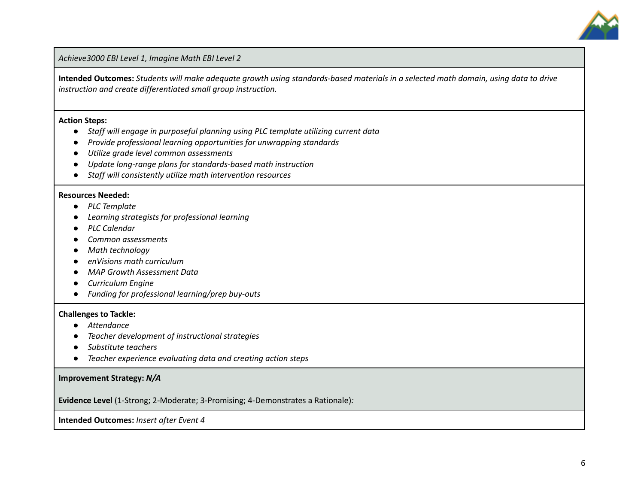

*Achieve3000 EBI Level 1, Imagine Math EBI Level 2*

Intended Outcomes: Students will make adequate growth using standards-based materials in a selected math domain, using data to drive *instruction and create differentiated small group instruction.*

#### **Action Steps:**

- *● Staff will engage in purposeful planning using PLC template utilizing current data*
- *● Provide professional learning opportunities for unwrapping standards*
- *● Utilize grade level common assessments*
- *● Update long-range plans for standards-based math instruction*
- *● Staff will consistently utilize math intervention resources*

#### **Resources Needed:**

- *● PLC Template*
- *● Learning strategists for professional learning*
- *● PLC Calendar*
- *● Common assessments*
- *● Math technology*
- *● enVisions math curriculum*
- *● MAP Growth Assessment Data*
- *● Curriculum Engine*
- *● Funding for professional learning/prep buy-outs*

#### **Challenges to Tackle:**

- *● Attendance*
- *● Teacher development of instructional strategies*
- *● Substitute teachers*
- *● Teacher experience evaluating data and creating action steps*

#### **Improvement Strategy:** *N/A*

**Evidence Level** (1-Strong; 2-Moderate; 3-Promising; 4-Demonstrates a Rationale)*:*

**Intended Outcomes:** *Insert after Event 4*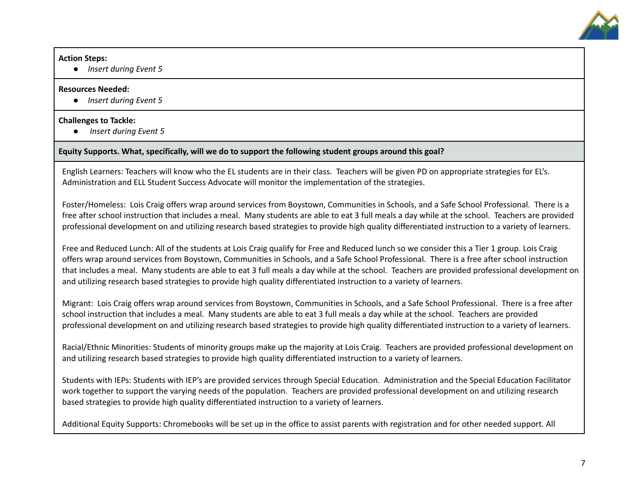

#### **Action Steps:**

**●** *Insert during Event 5*

#### **Resources Needed:**

**●** *Insert during Event 5*

### **Challenges to Tackle:**

**●** *Insert during Event 5*

## **Equity Supports. What, specifically, will we do to support the following student groups around this goal?**

English Learners: Teachers will know who the EL students are in their class. Teachers will be given PD on appropriate strategies for EL's. Administration and ELL Student Success Advocate will monitor the implementation of the strategies.

Foster/Homeless: Lois Craig offers wrap around services from Boystown, Communities in Schools, and a Safe School Professional. There is a free after school instruction that includes a meal. Many students are able to eat 3 full meals a day while at the school. Teachers are provided professional development on and utilizing research based strategies to provide high quality differentiated instruction to a variety of learners.

Free and Reduced Lunch: All of the students at Lois Craig qualify for Free and Reduced lunch so we consider this a Tier 1 group. Lois Craig offers wrap around services from Boystown, Communities in Schools, and a Safe School Professional. There is a free after school instruction that includes a meal. Many students are able to eat 3 full meals a day while at the school. Teachers are provided professional development on and utilizing research based strategies to provide high quality differentiated instruction to a variety of learners.

Migrant: Lois Craig offers wrap around services from Boystown, Communities in Schools, and a Safe School Professional. There is a free after school instruction that includes a meal. Many students are able to eat 3 full meals a day while at the school. Teachers are provided professional development on and utilizing research based strategies to provide high quality differentiated instruction to a variety of learners.

Racial/Ethnic Minorities: Students of minority groups make up the majority at Lois Craig. Teachers are provided professional development on and utilizing research based strategies to provide high quality differentiated instruction to a variety of learners.

Students with IEPs: Students with IEP's are provided services through Special Education. Administration and the Special Education Facilitator work together to support the varying needs of the population. Teachers are provided professional development on and utilizing research based strategies to provide high quality differentiated instruction to a variety of learners.

Additional Equity Supports: Chromebooks will be set up in the office to assist parents with registration and for other needed support. All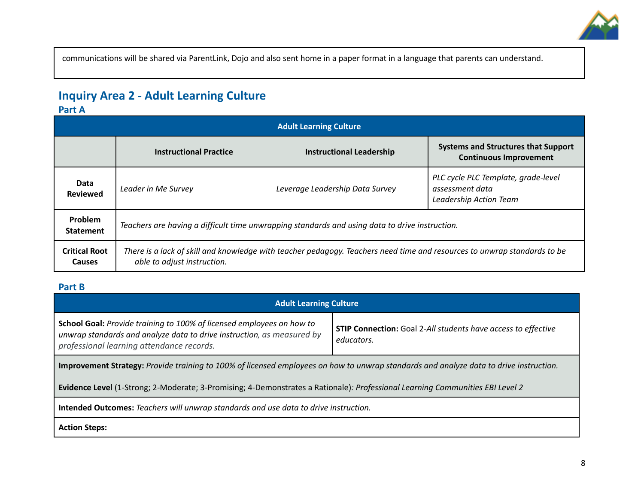

communications will be shared via ParentLink, Dojo and also sent home in a paper format in a language that parents can understand.

## **Inquiry Area 2 - Adult Learning Culture**

### **Part A**

|                                       | <b>Adult Learning Culture</b>                                                                                                                           |                                 |                                                                                  |  |  |  |
|---------------------------------------|---------------------------------------------------------------------------------------------------------------------------------------------------------|---------------------------------|----------------------------------------------------------------------------------|--|--|--|
|                                       | <b>Instructional Practice</b>                                                                                                                           | <b>Instructional Leadership</b> | <b>Systems and Structures that Support</b><br><b>Continuous Improvement</b>      |  |  |  |
| Data<br><b>Reviewed</b>               | Leader in Me Survey                                                                                                                                     | Leverage Leadership Data Survey | PLC cycle PLC Template, grade-level<br>assessment data<br>Leadership Action Team |  |  |  |
| Problem<br><b>Statement</b>           | Teachers are having a difficult time unwrapping standards and using data to drive instruction.                                                          |                                 |                                                                                  |  |  |  |
| <b>Critical Root</b><br><b>Causes</b> | There is a lack of skill and knowledge with teacher pedagogy. Teachers need time and resources to unwrap standards to be<br>able to adjust instruction. |                                 |                                                                                  |  |  |  |

## **Part B**

| <b>Adult Learning Culture</b>                                                                                                                                                                                                                                                      |  |  |  |  |  |
|------------------------------------------------------------------------------------------------------------------------------------------------------------------------------------------------------------------------------------------------------------------------------------|--|--|--|--|--|
| School Goal: Provide training to 100% of licensed employees on how to<br><b>STIP Connection:</b> Goal 2-All students have access to effective<br>unwrap standards and analyze data to drive instruction, as measured by<br>educators.<br>professional learning attendance records. |  |  |  |  |  |
| Improvement Strategy: Provide training to 100% of licensed employees on how to unwrap standards and analyze data to drive instruction.                                                                                                                                             |  |  |  |  |  |
| Evidence Level (1-Strong; 2-Moderate; 3-Promising; 4-Demonstrates a Rationale): Professional Learning Communities EBI Level 2                                                                                                                                                      |  |  |  |  |  |
| Intended Outcomes: Teachers will unwrap standards and use data to drive instruction.                                                                                                                                                                                               |  |  |  |  |  |
| <b>Action Steps:</b>                                                                                                                                                                                                                                                               |  |  |  |  |  |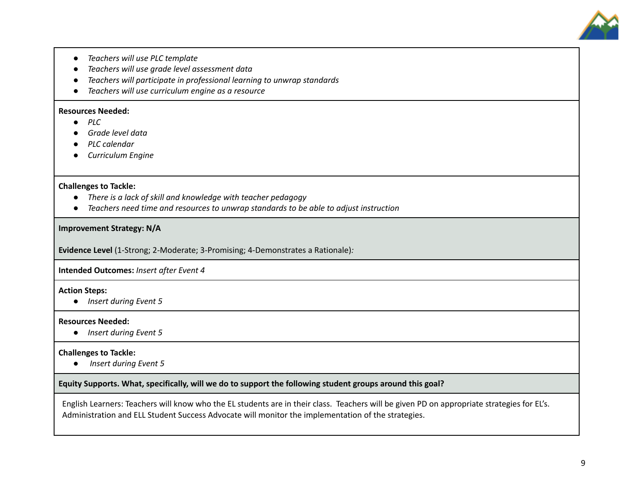

- *● Teachers will use PLC template*
- *● Teachers will use grade level assessment data*
- *● Teachers will participate in professional learning to unwrap standards*
- *● Teachers will use curriculum engine as a resource*

#### **Resources Needed:**

- **●** *PLC*
- *● Grade level data*
- *● PLC calendar*
- *● Curriculum Engine*

#### **Challenges to Tackle:**

- **●** *There is a lack of skill and knowledge with teacher pedagogy*
- **●** *Teachers need time and resources to unwrap standards to be able to adjust instruction*

#### **Improvement Strategy: N/A**

**Evidence Level** (1-Strong; 2-Moderate; 3-Promising; 4-Demonstrates a Rationale)*:*

**Intended Outcomes:** *Insert after Event 4*

#### **Action Steps:**

**●** *Insert during Event 5*

#### **Resources Needed:**

**●** *Insert during Event 5*

#### **Challenges to Tackle:**

**●** *Insert during Event 5*

#### **Equity Supports. What, specifically, will we do to support the following student groups around this goal?**

English Learners: Teachers will know who the EL students are in their class. Teachers will be given PD on appropriate strategies for EL's. Administration and ELL Student Success Advocate will monitor the implementation of the strategies.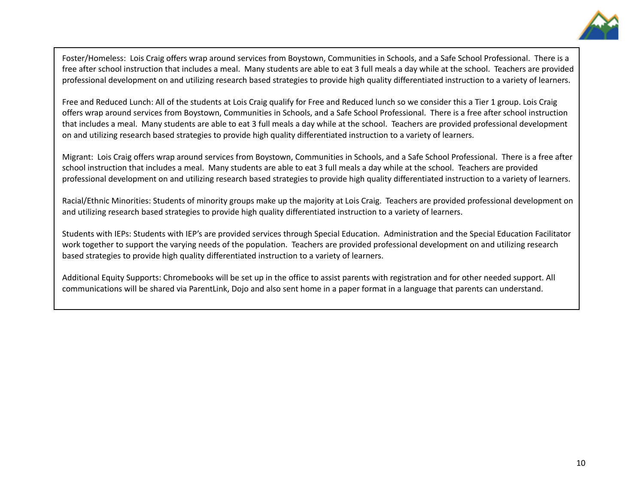

Foster/Homeless: Lois Craig offers wrap around services from Boystown, Communities in Schools, and a Safe School Professional. There is a free after school instruction that includes a meal. Many students are able to eat 3 full meals a day while at the school. Teachers are provided professional development on and utilizing research based strategies to provide high quality differentiated instruction to a variety of learners.

Free and Reduced Lunch: All of the students at Lois Craig qualify for Free and Reduced lunch so we consider this a Tier 1 group. Lois Craig offers wrap around services from Boystown, Communities in Schools, and a Safe School Professional. There is a free after school instruction that includes a meal. Many students are able to eat 3 full meals a day while at the school. Teachers are provided professional development on and utilizing research based strategies to provide high quality differentiated instruction to a variety of learners.

Migrant: Lois Craig offers wrap around services from Boystown, Communities in Schools, and a Safe School Professional. There is a free after school instruction that includes a meal. Many students are able to eat 3 full meals a day while at the school. Teachers are provided professional development on and utilizing research based strategies to provide high quality differentiated instruction to a variety of learners.

Racial/Ethnic Minorities: Students of minority groups make up the majority at Lois Craig. Teachers are provided professional development on and utilizing research based strategies to provide high quality differentiated instruction to a variety of learners.

Students with IEPs: Students with IEP's are provided services through Special Education. Administration and the Special Education Facilitator work together to support the varying needs of the population. Teachers are provided professional development on and utilizing research based strategies to provide high quality differentiated instruction to a variety of learners.

Additional Equity Supports: Chromebooks will be set up in the office to assist parents with registration and for other needed support. All communications will be shared via ParentLink, Dojo and also sent home in a paper format in a language that parents can understand.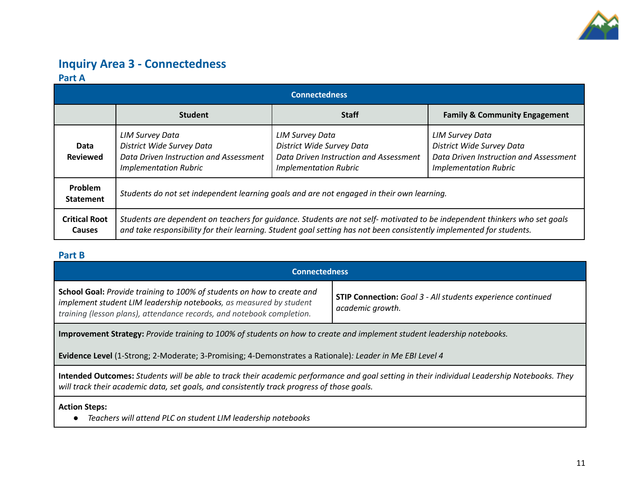

## **Inquiry Area 3 - Connectedness Part A**

|                                | <b>Connectedness</b>                                                                                                                                                                                                                              |                                                                                                                               |                                                                                                                               |  |  |  |
|--------------------------------|---------------------------------------------------------------------------------------------------------------------------------------------------------------------------------------------------------------------------------------------------|-------------------------------------------------------------------------------------------------------------------------------|-------------------------------------------------------------------------------------------------------------------------------|--|--|--|
|                                | <b>Student</b>                                                                                                                                                                                                                                    | <b>Staff</b>                                                                                                                  | <b>Family &amp; Community Engagement</b>                                                                                      |  |  |  |
| Data<br><b>Reviewed</b>        | <b>LIM Survey Data</b><br>District Wide Survey Data<br>Data Driven Instruction and Assessment<br><b>Implementation Rubric</b>                                                                                                                     | <b>LIM Survey Data</b><br>District Wide Survey Data<br>Data Driven Instruction and Assessment<br><b>Implementation Rubric</b> | <b>LIM Survey Data</b><br>District Wide Survey Data<br>Data Driven Instruction and Assessment<br><b>Implementation Rubric</b> |  |  |  |
| Problem<br><b>Statement</b>    | Students do not set independent learning goals and are not engaged in their own learning.                                                                                                                                                         |                                                                                                                               |                                                                                                                               |  |  |  |
| <b>Critical Root</b><br>Causes | Students are dependent on teachers for guidance. Students are not self-motivated to be independent thinkers who set goals<br>and take responsibility for their learning. Student goal setting has not been consistently implemented for students. |                                                                                                                               |                                                                                                                               |  |  |  |

### **Part B**

| <b>Connectedness</b>                                                                                                                                                                                                  |                                                                                        |  |  |  |
|-----------------------------------------------------------------------------------------------------------------------------------------------------------------------------------------------------------------------|----------------------------------------------------------------------------------------|--|--|--|
| School Goal: Provide training to 100% of students on how to create and<br>implement student LIM leadership notebooks, as measured by student<br>training (lesson plans), attendance records, and notebook completion. | <b>STIP Connection:</b> Goal 3 - All students experience continued<br>academic growth. |  |  |  |
| Improvement Strategy: Provide training to 100% of students on how to create and implement student leadership notebooks.                                                                                               |                                                                                        |  |  |  |

**Evidence Level** (1-Strong; 2-Moderate; 3-Promising; 4-Demonstrates a Rationale)*: Leader in Me EBI Level 4*

Intended Outcomes: Students will be able to track their academic performance and goal setting in their individual Leadership Notebooks. They *will track their academic data, set goals, and consistently track progress of those goals.*

#### **Action Steps:**

*● Teachers will attend PLC on student LIM leadership notebooks*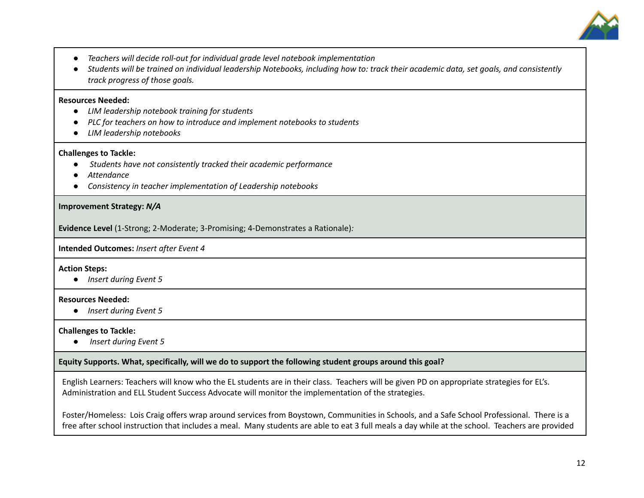

- *● Teachers will decide roll-out for individual grade level notebook implementation*
- Students will be trained on individual leadership Notebooks, including how to: track their academic data, set goals, and consistently *track progress of those goals.*

#### **Resources Needed:**

- **●** *LIM leadership notebook training for students*
- *● PLC for teachers on how to introduce and implement notebooks to students*
- *● LIM leadership notebooks*

#### **Challenges to Tackle:**

- **●** *Students have not consistently tracked their academic performance*
- *● Attendance*
- *● Consistency in teacher implementation of Leadership notebooks*

#### **Improvement Strategy:** *N/A*

**Evidence Level** (1-Strong; 2-Moderate; 3-Promising; 4-Demonstrates a Rationale)*:*

**Intended Outcomes:** *Insert after Event 4*

**Action Steps:**

**●** *Insert during Event 5*

#### **Resources Needed:**

**●** *Insert during Event 5*

#### **Challenges to Tackle:**

**●** *Insert during Event 5*

#### **Equity Supports. What, specifically, will we do to support the following student groups around this goal?**

English Learners: Teachers will know who the EL students are in their class. Teachers will be given PD on appropriate strategies for EL's. Administration and ELL Student Success Advocate will monitor the implementation of the strategies.

Foster/Homeless: Lois Craig offers wrap around services from Boystown, Communities in Schools, and a Safe School Professional. There is a free after school instruction that includes a meal. Many students are able to eat 3 full meals a day while at the school. Teachers are provided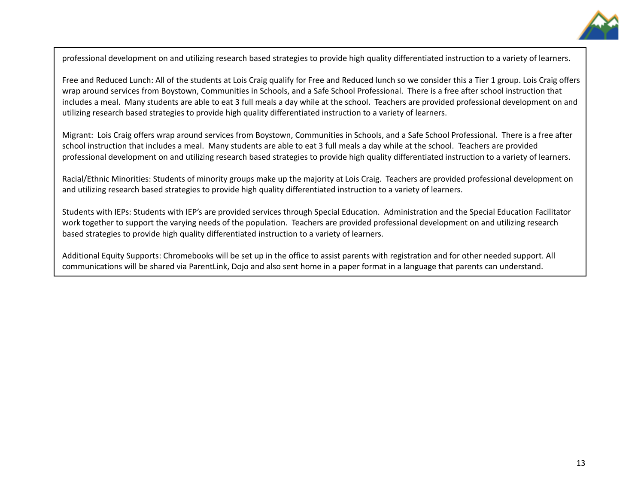

professional development on and utilizing research based strategies to provide high quality differentiated instruction to a variety of learners.

Free and Reduced Lunch: All of the students at Lois Craig qualify for Free and Reduced lunch so we consider this a Tier 1 group. Lois Craig offers wrap around services from Boystown, Communities in Schools, and a Safe School Professional. There is a free after school instruction that includes a meal. Many students are able to eat 3 full meals a day while at the school. Teachers are provided professional development on and utilizing research based strategies to provide high quality differentiated instruction to a variety of learners.

Migrant: Lois Craig offers wrap around services from Boystown, Communities in Schools, and a Safe School Professional. There is a free after school instruction that includes a meal. Many students are able to eat 3 full meals a day while at the school. Teachers are provided professional development on and utilizing research based strategies to provide high quality differentiated instruction to a variety of learners.

Racial/Ethnic Minorities: Students of minority groups make up the majority at Lois Craig. Teachers are provided professional development on and utilizing research based strategies to provide high quality differentiated instruction to a variety of learners.

Students with IEPs: Students with IEP's are provided services through Special Education. Administration and the Special Education Facilitator work together to support the varying needs of the population. Teachers are provided professional development on and utilizing research based strategies to provide high quality differentiated instruction to a variety of learners.

Additional Equity Supports: Chromebooks will be set up in the office to assist parents with registration and for other needed support. All communications will be shared via ParentLink, Dojo and also sent home in a paper format in a language that parents can understand.